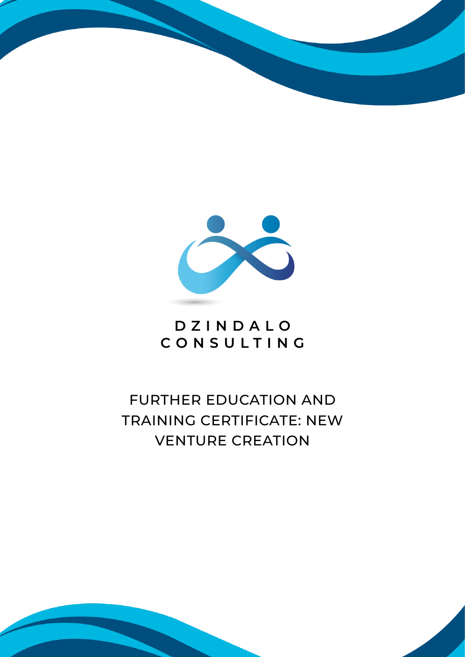



# **DZINDALO CONSULTING**

# FURTHER EDUCATION AND TRAINING CERTIFICATE: NEW VENTURE CREATION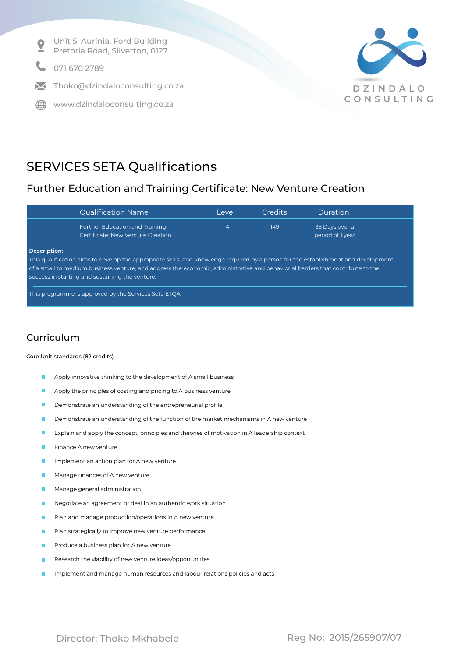Unit 5, Aurinia, Ford Building  $\bullet$ Pretoria Road, Silverton, 0127

071 670 2789

 $\blacksquare$  Thoko@dzindaloconsulting.co.za

∰ www.dzindaloconsulting.co.za



## SERVICES SETA Qualifications

## Further Education and Training Certificate: New Venture Creation

| <b>Qualification Name</b>                                                                                                                                                          | Level | <b>Credits</b> | Duration                           |
|------------------------------------------------------------------------------------------------------------------------------------------------------------------------------------|-------|----------------|------------------------------------|
| <b>Further Education and Training</b><br>Certificate: New Venture Creation                                                                                                         | 4     | 149            | 35 Days over a<br>period of 1 year |
| Description:<br>This qualification aims to develop the appropriate skills and knowledge required by a person for the establishment and development                                 |       |                |                                    |
| of a small to medium business venture, and address the economic, administrative and behaviorial barriers that contribute to the<br>success in starting and sustaining the venture. |       |                |                                    |

This programme is approved by the Services Seta ETQA

## Curriculum

### Core Unit standards (82 credits)

- Apply innovative thinking to the development of A small business  $\mathcal{L}_{\mathcal{A}}$
- Apply the principles of costing and pricing to A business venture
- Demonstrate an understanding of the entrepreneurial profile
- Demonstrate an understanding of the function of the market mechanisms in A new venture П
- Explain and apply the concept, principles and theories of motivation in A leadership context **COL**
- n. Finance A new venture
- Implement an action plan for A new venture
- Manage finances of A new venture
- Manage general administration
- Negotiate an agreement or deal in an authentic work situation
- Plan and manage production/operations in A new venture
- Plan strategically to improve new venture performance
- Produce a business plan for A new venture
- Research the viability of new venture ideas/opportunities
- Implement and manage human resources and labour relations policies and acts